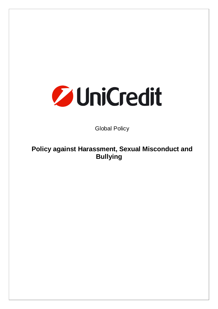

Global Policy

**Policy against Harassment, Sexual Misconduct and Bullying**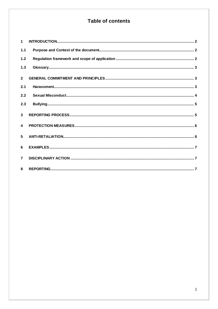# Table of contents

| $\mathbf{1}$            |  |
|-------------------------|--|
| 1.1                     |  |
| 1.2                     |  |
| 1.3                     |  |
| $\overline{2}$          |  |
| 2.1                     |  |
| 2.2                     |  |
| 2.3                     |  |
| $\overline{3}$          |  |
| $\overline{\mathbf{A}}$ |  |
| 5                       |  |
| 6                       |  |
| $\overline{7}$          |  |
| 8                       |  |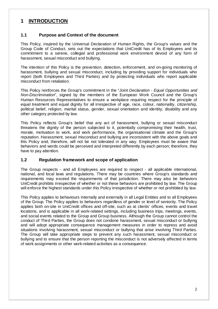### **1 INTRODUCTION**

#### **1.1 Purpose and Context of the document**

This Policy, inspired by the Universal Declaration of Human Rights, the Group's values and the Group Code of Conduct, sets out the expectations that UniCredit has of its Employees and its commitment to a serene, collegial and professional work environment devoid of any form of harassment, sexual misconduct and bullying.

The intention of this Policy is the prevention, detection, enforcement, and on-going monitoring of harassment, bullying and sexual misconduct, including by providing support for individuals who report (both Employees and Third Parties) and by protecting individuals who report applicable misconduct from retaliation.

This Policy reinforces the Group's commitment in the "*Joint Declaration - Equal Opportunities and Non-Discrimination*", signed by the members of the European Work Council and the Group's Human Resources Representatives to ensure a workplace requiring respect for the principle of equal treatment and equal dignity for all irrespective of age, race, colour, nationality, citizenship, political belief, religion, marital status, gender, sexual orientation and identity, disability and any other category protected by law.

This Policy reflects Group's belief that any act of harassment, bullying or sexual misconduct threatens the dignity of the person subjected to it, potentially compromising their health, trust, morale, motivation to work, and work performance, the organisational climate and the Group's reputation. Harassment, sexual misconduct and bullying are inconsistent with the above goals and this Policy and, therefore, will not be not tolerated in any way. Employees must be aware that behaviors and words could be perceived and interpreted differently by each person; therefore, they have to pay attention.

#### **1.2 Regulation framework and scope of application**

The Group respects - and all Employees are required to respect - all applicable international, national, and local laws and regulations. There may be countries where Group's standards and requirements may exceed the requirements of that jurisdiction. There may also be behaviors UniCredit prohibits irrespective of whether or not these behaviors are prohibited by law. The Group will enforce the highest standards under this Policy irrespective of whether or not prohibited by law.

This Policy applies to behaviours internally and externally in all Legal Entities and to all Employees of the Group. The Policy applies to behaviors regardless of gender or level of seniority. The Policy applies both on-site in UniCredit offices and off-site, such as at clients' offices, events and travel locations, and is applicable in all work-related settings, including business trips, meetings, events, and social events related to the Group and Group business. Although the Group cannot control the conduct of Third Parties, the Group does not condone harassment, sexual misconduct or bullying and will adopt appropriate consequence management measures in order to repress and avoid situations involving harassment, sexual misconduct or bullying that arise involving Third Parties. The Group will take appropriate steps to prevent any such harassment, sexual misconduct or bullying and to ensure that the person reporting the misconduct is not adversely affected in terms of work assignments or other work-related activities as a consequence.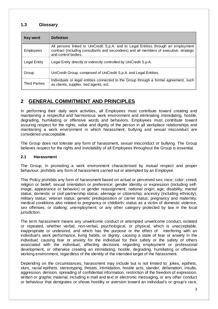#### **1.3 Glossary**

| Key word         | <b>Definition</b>                                                                                                                                                                                   |
|------------------|-----------------------------------------------------------------------------------------------------------------------------------------------------------------------------------------------------|
| <b>Employees</b> | All persons linked to UniCredit S.p.A. and to Legal Entities through an employment<br>contract (including consultants and secondees) and all members of executive, strategic<br>and control bodies. |
| Legal Entity     | Legal Entity directly or indirectly controlled by UniCredit S.p.A.                                                                                                                                  |
| Group            | UniCredit Group, composed of UniCredit S.p.A. and Legal Entities.                                                                                                                                   |
| Third Parties    | Individuals or legal entities connected to the Group through a formal agreement, such<br>as clients, supplier, tied agents, ect                                                                     |

## **2 GENERAL COMMITMENT AND PRINCIPLES**

In performing their daily work activities, all Employees must contribute toward creating and maintaining a respectful and harmonious work environment and eliminating intimidating, hostile, degrading, humiliating or offensive words and behaviors. Employees must contribute toward assuring respect for the rights, value and dignity of the person in all workplace relationships and maintaining a work environment in which harassment, bullying and sexual misconduct are considered unacceptable.

The Group does not tolerate any form of harassment, sexual misconduct or bullying. The Group believes respect for the rights and inviolability of all Employees throughout the Group is essential.

#### **2.1 Harassment**

The Group, in promoting a work environment characterised by mutual respect and proper behaviour, prohibits any form of harassment carried out or attempted by an Employee.

This Policy prohibits any form of harassment based on actual or perceived sex; race; color; creed; religion or belief; sexual orientation or preference; gender identity or expression (including selfimage, appearance or behavior) or gender reassignment; national origin; age; disability; marital status; domestic or civil partnership status; alienage or citizenship; ancestry (including ethnicity); military status; veteran status; genetic predisposition or carrier status; pregnancy and maternity; medical conditions also related to pregnancy or childbirth; status as a victim of domestic violence, sex offenses, or stalking; unemployment; or any other category protected by law in the local jurisdiction.

The term harassment means any unwelcome conduct or attempted unwelcome conduct, isolated or repeated, whether verbal, non-verbal, psychological, or physical, which is unacceptable, inappropriate or undesired, and which has the purpose or the effect of: interfering with an individual's work performance, living habits, or dignity, causing a state of fear or anxiety in the individual, causing fear or anxiety for the individual for their safety or the safety of others associated with the individual, affecting decisions regarding employment or professional development, or otherwise creating an intimidating, hostile, degrading, humiliating or offensive working environment, regardless of the identity of the intended target of the harassment.

Depending on the circumstances, harassment may include but is not limited to: jokes, epithets, slurs, racial epithets, stereotyping, threats, intimidation, hostile acts, slander, defamation, insults, aggression, derision, spreading of confidential information, restriction of the freedom of expression, written or graphic material, including e-mail and text or electronic messaging, or any other conduct or behaviour that denigrates or shows hostility or aversion toward an individual's or group's race,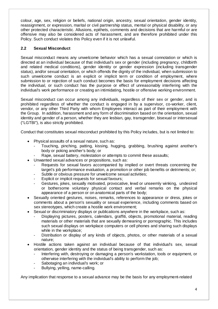colour, age, sex, religion or beliefs, national origin, ancestry, sexual orientation, gender identity, reassignment, or expression, marital or civil partnership status, mental or physical disability, or any other protected characteristic. Allusions, epithets, comments and decisions that are harmful or are offensive may also be considered acts of harassment, and are therefore prohibited under this Policy. Such conduct violates this Policy even if it is not unlawful.

#### **2.2 Sexual Misconduct**

Sexual misconduct means any unwelcome behavior which has a sexual connotation or which is directed at an individual because of that individual's sex or gender (including pregnancy, childbirth and related medical conditions), gender identity or gender expression (including transgender status), and/or sexual orientation, or which offends the dignity of the individual, when submission to such unwelcome conduct is an explicit or implicit term or condition of employment, where submission to or rejection of such conduct becomes the basis for employment decisions affecting the individual, or such conduct has the purpose or effect of unreasonably interfering with the individual's work performance or creating an intimidating, hostile or offensive working environment.

Sexual misconduct can occur among any individuals, regardless of their sex or gender, and is prohibited regardless of whether the conduct is engaged in by a supervisor, co-worker, client, vendor, or any other Third Party with whom Employees interact as part of their employment with the Group. In addition, harassment and any form of discrimination based on the orientation, sexual identity and gender of a person, whether they are lesbian, gay, transgender, bisexual or intersexual ("LGTBI"), is also strictly prohibited.

Conduct that constitutes sexual misconduct prohibited by this Policy includes, but is not limited to:

- Physical assaults of a sexual nature, such as:
	- Touching, pinching, patting, kissing, hugging, grabbing, brushing against another's body or poking another's body; or
	- Rape, sexual battery, molestation or attempts to commit these assaults;
- Unwanted sexual advances or propositions, such as:
	- Requests for sexual favors accompanied by implied or overt threats concerning the target's job performance evaluation, a promotion or other job benefits or detriments; or;
	- Subtle or obvious pressure for unwelcome sexual activities;
	- Explicit or implicit requests for sexual favours;
	- Gestures, jokes, sexually motivated, provocative, lewd or unseemly winking, undesired or bothersome voluntary physical contact and verbal remarks on the physical appearance of a person or on anatomical parts of the body;
- Sexually oriented gestures, noises, remarks, references to appearance or dress, jokes or comments about a person's sexuality or sexual experience, including comments based on sex stereotypes, which create a hostile work environment;
- Sexual or discriminatory displays or publications anywhere in the workplace, such as:
	- Displaying pictures, posters, calendars, graffiti, objects, promotional material, reading materials or other materials that are sexually demeaning or pornographic. This includes such sexual displays on workplace computers or cell phones and sharing such displays while in the workplace;
	- Distribution or display of any kinds of objects, photos, or other materials of a sexual nature;
- Hostile actions taken against an individual because of that individual's sex, sexual orientation, gender identity and the status of being transgender, such as:
	- Interfering with, destroying or damaging a person's workstation, tools or equipment, or otherwise interfering with the individual's ability to perform the job;
	- Sabotaging an individual's work; or
	- Bullying, yelling, name-calling.

Any implication that response to a sexual advance may be the basis for any employment-related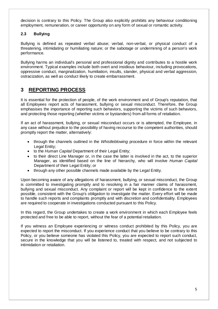decision is contrary to this Policy. The Group also explicitly prohibits any behaviour conditioning employment, remuneration, or career opportunity on any form of sexual or romantic activity.

#### **2.3 Bullying**

Bullying is defined as repeated verbal abuse; verbal, non-verbal, or physical conduct of a threatening, intimidating or humiliating nature; or the sabotage or undermining of a person's work performance.

Bullying harms an individual's personal and professional dignity and contributes to a hostile work environment. Typical examples include both overt and insidious behaviour, including provocations, oppressive conduct, marginalization, humiliation, insults, slander, physical and verbal aggression, ostracization, as well as conduct likely to create embarrassment.

### **3 REPORTING PROCESS**

It is essential for the protection of people, of the work environment and of Group's reputation, that all Employees report acts of harassment, bullying or sexual misconduct. Therefore, the Group emphasises the importance of reporting such behaviors, supporting the victims of such behaviors, and protecting those reporting (whether victims or bystanders) from all forms of retaliation.

If an act of harassment, bullying, or sexual misconduct occurs or is attempted, the Employee, in any case without prejudice to the possibility of having recourse to the competent authorities, should promptly report the matter, alternatively:

- through the channels outlined in the *Whistleblowing* procedure in force within the relevant Legal Entity;
- to the *Human Capital* Department of their Legal Entity;
- to their direct Line Manager or, in the case the latter is involved in the act, to the superior Manager, as identified based on the line of hierarchy, who will involve *Human Capital* Department of their Legal Entity; or
- through any other possible channels made available by the Legal Entity.

Upon becoming aware of any allegations of harassment, bullying, or sexual misconduct, the Group is committed to investigating promptly and to resolving in a fair manner claims of harassment, bullying and sexual misconduct. Any complaint or report will be kept in confidence to the extent possible, consistent with the Group's obligation to investigate the matter. Every effort will be made to handle such reports and complaints promptly and with discretion and confidentiality. Employees are required to cooperate in investigations conducted pursuant to this Policy.

In this regard, the Group undertakes to create a work environment in which each Employee feels protected and free to be able to report, without the fear of a potential retaliation.

If you witness an Employee experiencing or witness conduct prohibited by this Policy, you are expected to report the misconduct. If you experience conduct that you believe to be contrary to this Policy, or you believe someone has violated this Policy, you are expected to report such conduct, secure in the knowledge that you will be listened to, treated with respect, and not subjected to intimidation or retaliation.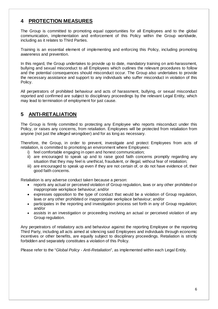## **4 PROTECTION MEASURES**

The Group is committed to promoting equal opportunities for all Employees and to the global communication, implementation and enforcement of this Policy within the Group worldwide, including as it relates to Third Parties.

Training is an essential element of implementing and enforcing this Policy, including promoting awareness and prevention.

In this regard, the Group undertakes to provide up to date, mandatory training on anti-harassment, bullying and sexual misconduct to all Employees which outlines the relevant procedures to follow and the potential consequences should misconduct occur. The Group also undertakes to provide the necessary assistance and support to any individuals who suffer misconduct in violation of this Policy.

All perpetrators of prohibited behaviour and acts of harassment, bullying, or sexual misconduct reported and confirmed are subject to disciplinary proceedings by the relevant Legal Entity, which may lead to termination of employment for just cause.

## **5 ANTI-RETALIATION**

The Group is firmly committed to protecting any Employee who reports misconduct under this Policy, or raises any concerns, from retaliation. Employees will be protected from retaliation from anyone (not just the alleged wrongdoer) and for as long as necessary.

Therefore, the Group, in order to prevent, investigate and protect Employees from acts of retaliation, is committed to promoting an environment where Employees:

- i) feel comfortable engaging in open and honest communication;
- ii) are encouraged to speak up and to raise good faith concerns promptly regarding any situation that they may feel is unethical, fraudulent, or illegal, without fear of retaliation;
- iii) are encouraged to speak up even if they are not certain of, or do not have evidence of, their good faith concerns.

Retaliation is any adverse conduct taken because a person:

- reports any actual or perceived violation of Group regulation, laws or any other prohibited or inappropriate workplace behaviour; and/or
- expresses opposition to the type of conduct that would be a violation of Group regulation, laws or any other prohibited or inappropriate workplace behaviour; and/or
- participates in the reporting and investigation process set forth in any of Group regulation: and/or
- assists in an investigation or proceeding involving an actual or perceived violation of any Group regulation.

Any perpetrators of retaliatory acts and behaviour against the reporting Employee or the reporting Third Party, including all acts aimed at silencing said Employees and individuals through economic incentives or other benefits, are equally subject to disciplinary proceedings. Retaliation is strictly forbidden and separately constitutes a violation of this Policy.

Please refer to the "*Global Policy - Anti-Retaliation*", as implemented within each Legal Entity.